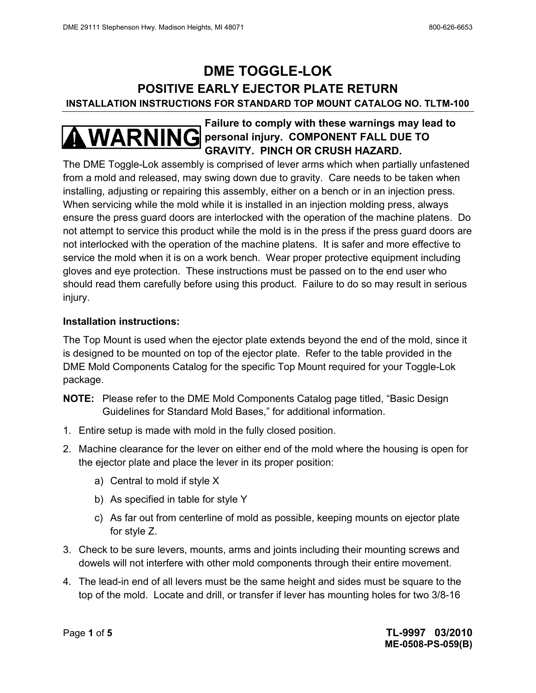# **DME TOGGLE-LOK POSITIVE EARLY EJECTOR PLATE RETURN INSTALLATION INSTRUCTIONS FOR STANDARD TOP MOUNT CATALOG NO. TLTM-100**

## **Failure to comply with these warnings may lead to WARNING** personal injury. COMPONENT FALL DUE TO **GRAVITY. PINCH OR CRUSH HAZARD.**

The DME Toggle-Lok assembly is comprised of lever arms which when partially unfastened from a mold and released, may swing down due to gravity. Care needs to be taken when installing, adjusting or repairing this assembly, either on a bench or in an injection press. When servicing while the mold while it is installed in an injection molding press, always ensure the press guard doors are interlocked with the operation of the machine platens. Do not attempt to service this product while the mold is in the press if the press guard doors are not interlocked with the operation of the machine platens. It is safer and more effective to service the mold when it is on a work bench. Wear proper protective equipment including gloves and eye protection. These instructions must be passed on to the end user who should read them carefully before using this product. Failure to do so may result in serious injury.

#### **Installation instructions:**

The Top Mount is used when the ejector plate extends beyond the end of the mold, since it is designed to be mounted on top of the ejector plate. Refer to the table provided in the DME Mold Components Catalog for the specific Top Mount required for your Toggle-Lok package.

- **NOTE:** Please refer to the DME Mold Components Catalog page titled, "Basic Design Guidelines for Standard Mold Bases," for additional information.
- 1. Entire setup is made with mold in the fully closed position.
- 2. Machine clearance for the lever on either end of the mold where the housing is open for the ejector plate and place the lever in its proper position:
	- a) Central to mold if style X
	- b) As specified in table for style Y
	- c) As far out from centerline of mold as possible, keeping mounts on ejector plate for style Z.
- 3. Check to be sure levers, mounts, arms and joints including their mounting screws and dowels will not interfere with other mold components through their entire movement.
- 4. The lead-in end of all levers must be the same height and sides must be square to the top of the mold. Locate and drill, or transfer if lever has mounting holes for two 3/8-16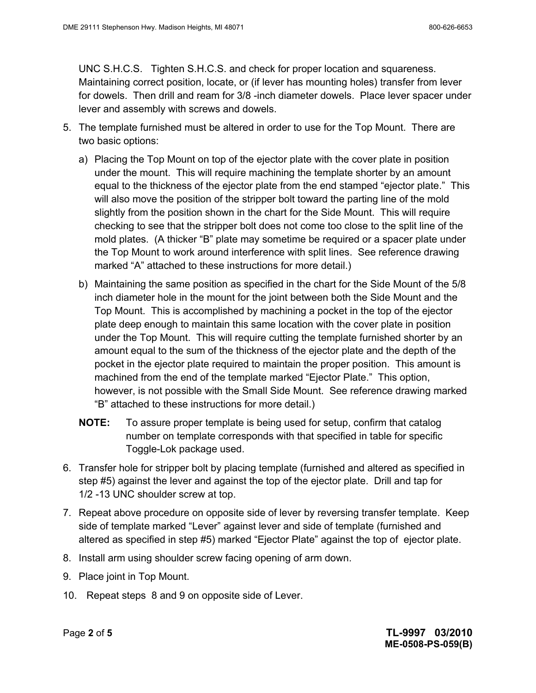UNC S.H.C.S. Tighten S.H.C.S. and check for proper location and squareness. Maintaining correct position, locate, or (if lever has mounting holes) transfer from lever for dowels. Then drill and ream for 3/8 -inch diameter dowels. Place lever spacer under lever and assembly with screws and dowels.

- 5. The template furnished must be altered in order to use for the Top Mount. There are two basic options:
	- a) Placing the Top Mount on top of the ejector plate with the cover plate in position under the mount. This will require machining the template shorter by an amount equal to the thickness of the ejector plate from the end stamped "ejector plate." This will also move the position of the stripper bolt toward the parting line of the mold slightly from the position shown in the chart for the Side Mount. This will require checking to see that the stripper bolt does not come too close to the split line of the mold plates. (A thicker "B" plate may sometime be required or a spacer plate under the Top Mount to work around interference with split lines. See reference drawing marked "A" attached to these instructions for more detail.)
	- b) Maintaining the same position as specified in the chart for the Side Mount of the 5/8 inch diameter hole in the mount for the joint between both the Side Mount and the Top Mount. This is accomplished by machining a pocket in the top of the ejector plate deep enough to maintain this same location with the cover plate in position under the Top Mount. This will require cutting the template furnished shorter by an amount equal to the sum of the thickness of the ejector plate and the depth of the pocket in the ejector plate required to maintain the proper position. This amount is machined from the end of the template marked "Ejector Plate." This option, however, is not possible with the Small Side Mount. See reference drawing marked "B" attached to these instructions for more detail.)
	- **NOTE:** To assure proper template is being used for setup, confirm that catalog number on template corresponds with that specified in table for specific Toggle-Lok package used.
- 6. Transfer hole for stripper bolt by placing template (furnished and altered as specified in step #5) against the lever and against the top of the ejector plate. Drill and tap for 1/2 -13 UNC shoulder screw at top.
- 7. Repeat above procedure on opposite side of lever by reversing transfer template. Keep side of template marked "Lever" against lever and side of template (furnished and altered as specified in step #5) marked "Ejector Plate" against the top of ejector plate.
- 8. Install arm using shoulder screw facing opening of arm down.
- 9. Place joint in Top Mount.
- 10. Repeat steps 8 and 9 on opposite side of Lever.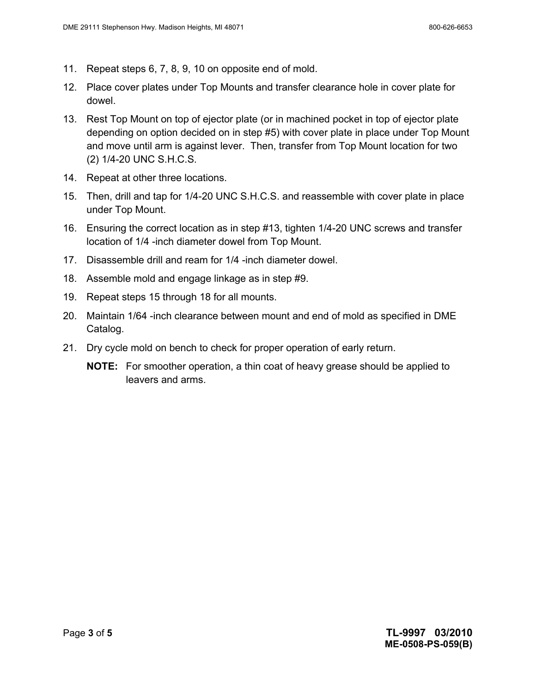- 11. Repeat steps 6, 7, 8, 9, 10 on opposite end of mold.
- 12. Place cover plates under Top Mounts and transfer clearance hole in cover plate for dowel.
- 13. Rest Top Mount on top of ejector plate (or in machined pocket in top of ejector plate depending on option decided on in step #5) with cover plate in place under Top Mount and move until arm is against lever. Then, transfer from Top Mount location for two (2) 1/4-20 UNC S.H.C.S.
- 14. Repeat at other three locations.
- 15. Then, drill and tap for 1/4-20 UNC S.H.C.S. and reassemble with cover plate in place under Top Mount.
- 16. Ensuring the correct location as in step #13, tighten 1/4-20 UNC screws and transfer location of 1/4 -inch diameter dowel from Top Mount.
- 17. Disassemble drill and ream for 1/4 -inch diameter dowel.
- 18. Assemble mold and engage linkage as in step #9.
- 19. Repeat steps 15 through 18 for all mounts.
- 20. Maintain 1/64 -inch clearance between mount and end of mold as specified in DME Catalog.
- 21. Dry cycle mold on bench to check for proper operation of early return.
	- **NOTE:** For smoother operation, a thin coat of heavy grease should be applied to leavers and arms.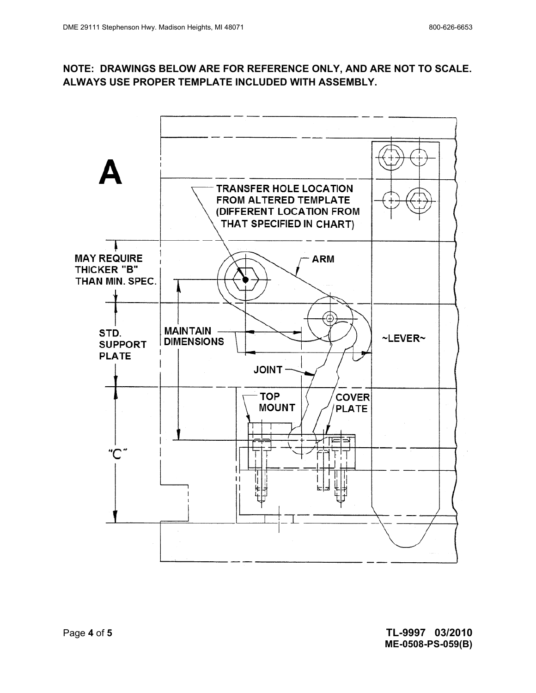### **NOTE: DRAWINGS BELOW ARE FOR REFERENCE ONLY, AND ARE NOT TO SCALE. ALWAYS USE PROPER TEMPLATE INCLUDED WITH ASSEMBLY.**